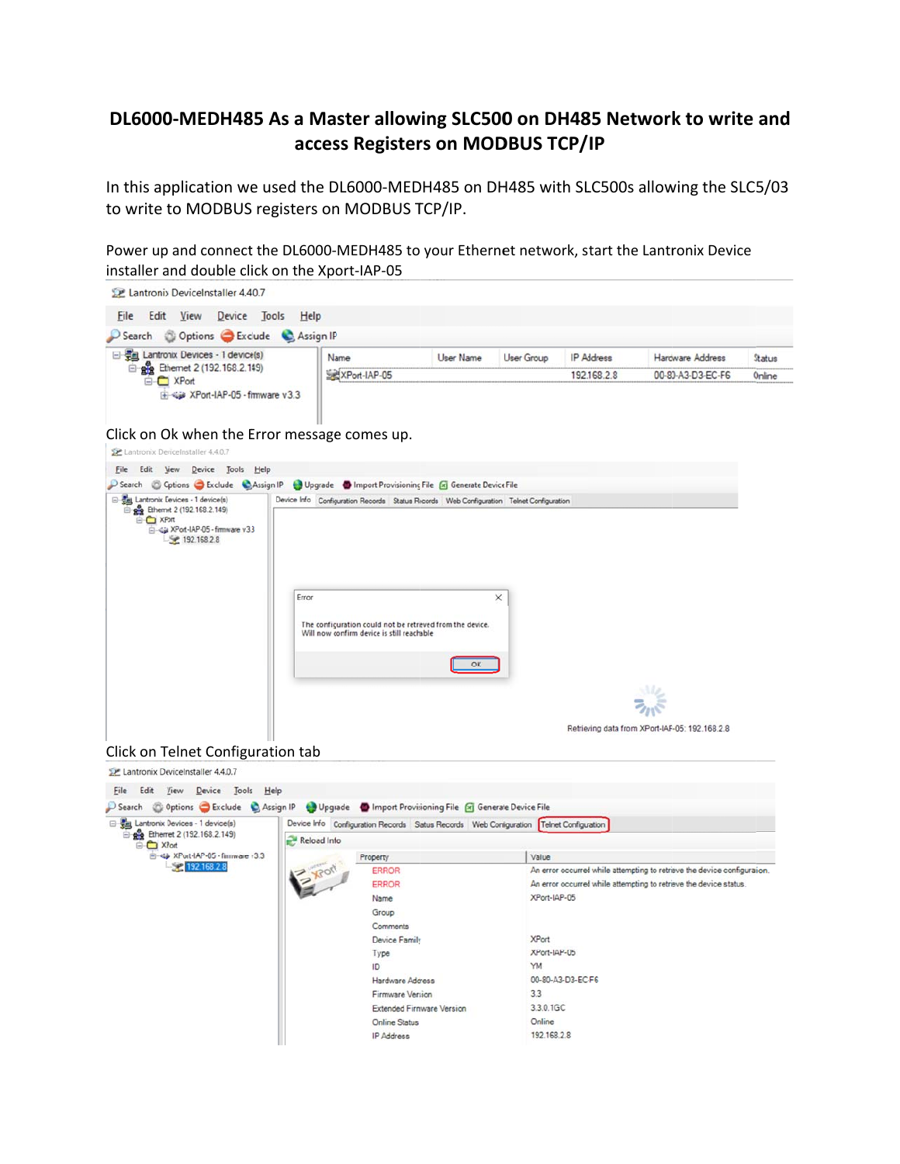## DL6000-MEDH485 As a Master allowing SLC500 on DH485 Network to write and access Registers on MODBUS TCP/IP

In this application we used the DL6000-MEDH485 on DH485 with SLC500s allowing the SLC5/03 to write to MODBUS registers on MODBUS TCP/IP.

Power up and connect the DL6000-MEDH485 to your Ethernet network, start the Lantronix Device installer and double click on the Xport-IAP-05



## Click on Ok when the Error message comes up.





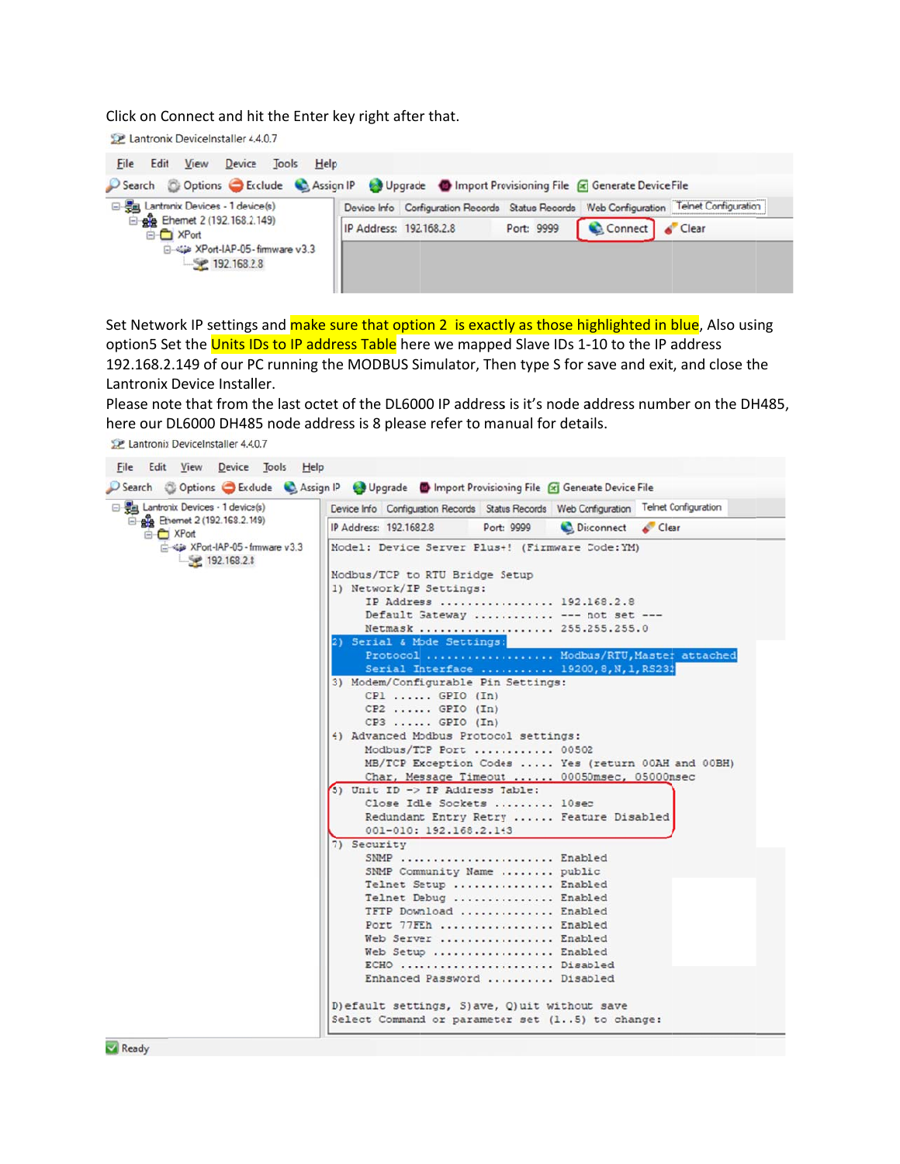Click on Connect and hit the Enter key right after that.

Lantronix DeviceInstaller 4.4.0.7



Set Network IP settings and make sure that option 2 is exactly as those highlighted in blue. Also using option5 Set the Units IDs to IP address Table here we mapped Slave IDs 1-10 to the IP address 192.168.2.149 of our PC running the MODBUS Simulator, Then type S for save and exit, and close the Lantronix Device Installer.

Please note that from the last octet of the DL6000 IP address is it's node address number on the DH485, here our DL6000 DH485 node address is 8 please refer to manual for details.

Lantronix DeviceInstaller 4.4.0.7

| 日 题 Lantronix Devices - 1 device(s)               | Device Info Configuration Records Status Records Web Configuration Telnet Configuration |
|---------------------------------------------------|-----------------------------------------------------------------------------------------|
| B gg Ethernet 2 (192.168.2.149)<br><b>E</b> XPort | IP Address: 192,168.2.8<br>Port: 9999<br>Disconnect Clear                               |
| XPort-IAP-05 - firmware v3.3<br>$-192.168.2.8$    | Model: Device Server Plus+! (Firmware Code:YM)                                          |
|                                                   | Modbus/TCP to RTU Bridge Setup<br>1) Network/IP Settings:                               |
|                                                   | IP Address  192.168.2.8                                                                 |
|                                                   | Default Gateway  --- not set ---                                                        |
|                                                   | Netmask  255.255.255.0                                                                  |
|                                                   | 2) Serial & Mode Settings:                                                              |
|                                                   | Protocol<br>Modbus/RTU, Master attached                                                 |
|                                                   | Serial Interface  19200, 8, N, 1, RS232                                                 |
|                                                   | 3) Modem/Configurable Pin Settings:                                                     |
|                                                   | $CPI$ $GPIO$ $(In)$                                                                     |
|                                                   | $CP2$ $GPIO (In)$                                                                       |
|                                                   | $CP3$ $GPIO (In)$                                                                       |
|                                                   | 4) Advanced Modbus Protocol settings:                                                   |
|                                                   | Modbus/TCP Port  00502                                                                  |
|                                                   | MB/TCP Exception Codes  Yes (return 00AH and 00BH)                                      |
|                                                   | Char, Message Timeout  00050msec, 05000msec                                             |
|                                                   | 5) Unit ID -> IP Address Table:                                                         |
|                                                   | Close Idle Sockets  10sec                                                               |
|                                                   | Redundant Entry Retry  Feature Disabled                                                 |
|                                                   | 001-010: 192.168.2.143                                                                  |
|                                                   | 7) Security                                                                             |
|                                                   | SNMP  Enabled                                                                           |
|                                                   | SNMP Community Name  public                                                             |
|                                                   | Telnet Setup  Enabled                                                                   |
|                                                   | Telnet Debug  Enabled                                                                   |
|                                                   | TFTP Download  Enabled                                                                  |
|                                                   | Port 77FEh  Enabled                                                                     |
|                                                   | Web Server  Enabled                                                                     |
|                                                   | Web Setup  Enabled                                                                      |
|                                                   | ECHO  Disabled                                                                          |
|                                                   | Enhanced Password  Disabled                                                             |
|                                                   | D) efault settings, S) ave, Q) uit without save                                         |
|                                                   | Select Command or parameter set (15) to change:                                         |

Ready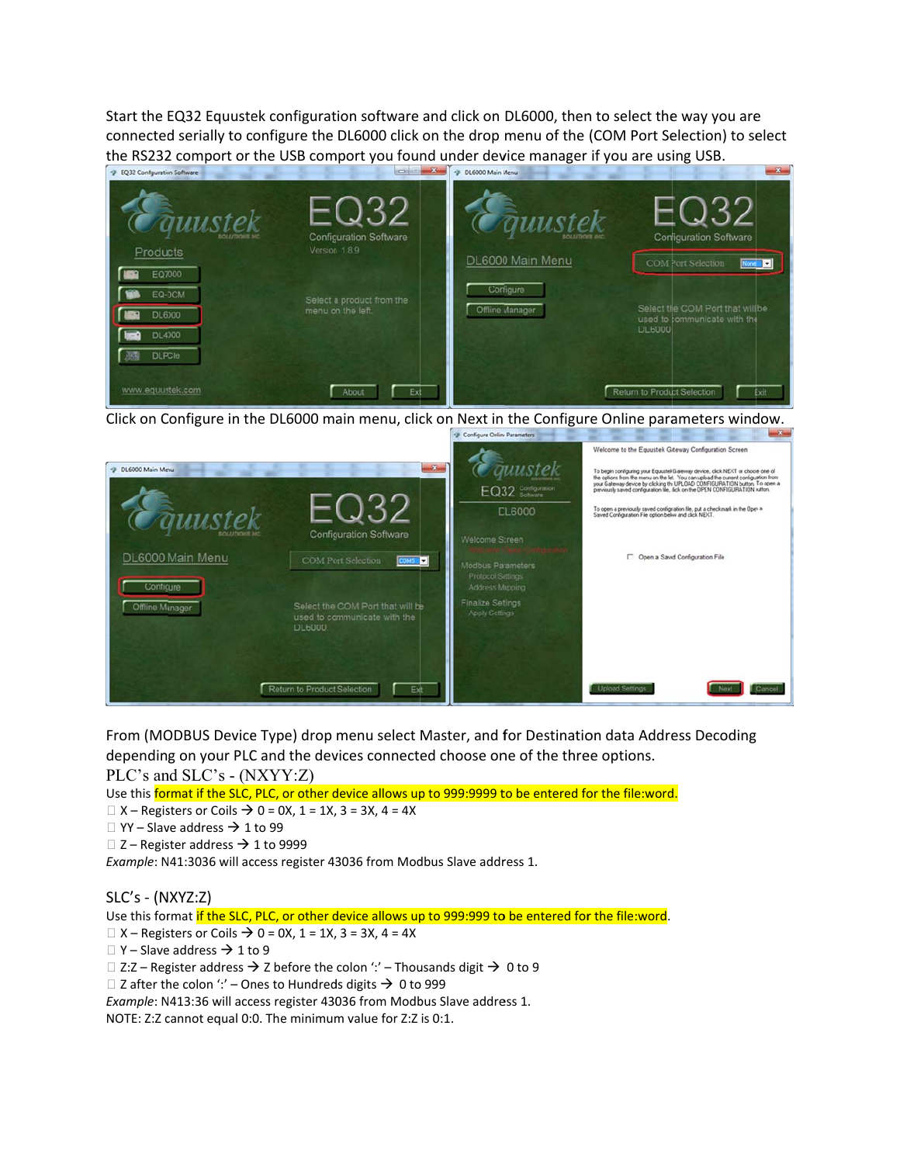Start the EQ32 Equustek configuration software and click on DL6000, then to select the way you are connected serially to configure the DL6000 click on the drop menu of the (COM Port Selection) to select the RS232 comport or the USB comport you found under device manager if you are using USB.



Click on Configure in the DL6000 main menu, click on Next in the Configure Online parameters window.



From (MODBUS Device Type) drop menu select Master, and for Destination data Address Decoding depending on your PLC and the devices connected choose one of the three options.

PLC's and SLC's - (NXYY:Z)

Use this format if the SLC, PLC, or other device allows up to 999:9999 to be entered for the file:word.

 $\Box$  X – Registers or Coils  $\rightarrow$  0 = 0X, 1 = 1X, 3 = 3X, 4 = 4X

 $\Box$  YY - Slave address  $\rightarrow$  1 to 99

```
\Box Z – Register address \rightarrow 1 to 9999
```
Example: N41:3036 will access register 43036 from Modbus Slave address 1.

 $SLC's - (NXYZ:Z)$ 

Use this format if the SLC, PLC, or other device allows up to 999:999 to be entered for the file:word.

 $\Box$  X – Registers or Coils  $\rightarrow$  0 = 0X, 1 = 1X, 3 = 3X, 4 = 4X

 $\Box$  Y – Slave address  $\rightarrow$  1 to 9

□ Z:Z – Register address  $\rightarrow$  Z before the colon ':' – Thousands digit  $\rightarrow$  0 to 9

 $\Box$  Z after the colon ':' - Ones to Hundreds digits  $\rightarrow$  0 to 999

Example: N413:36 will access register 43036 from Modbus Slave address 1.

NOTE: Z:Z cannot equal 0:0. The minimum value for Z:Z is 0:1.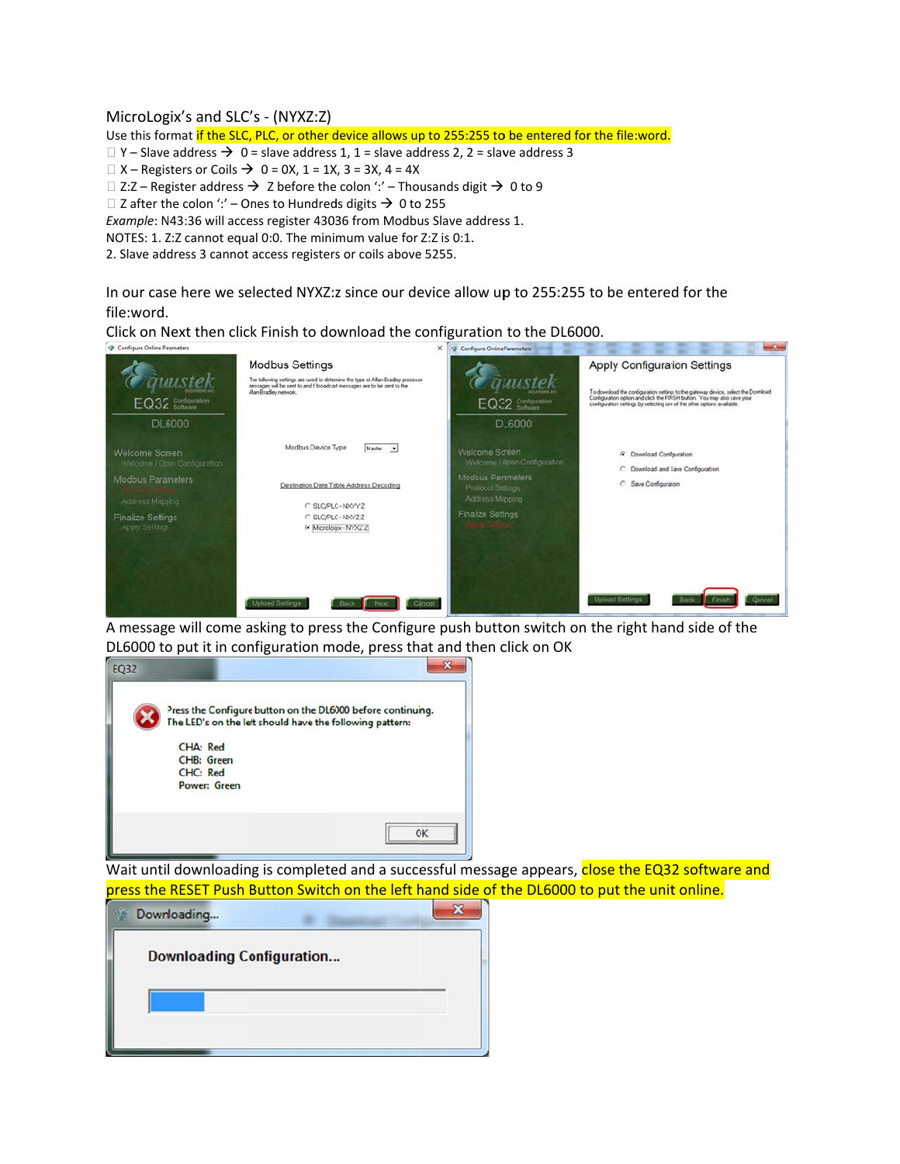## MicroLogix's and SLC's - (NYXZ:Z)

Use this format if the SLC, PLC, or other device allows up to 255:255 to be entered for the file:word.

 $\Box$  Y – Slave address  $\rightarrow$  0 = slave address 1, 1 = slave address 2, 2 = slave address 3

 $\Box$  X – Registers or Coils  $\rightarrow$  0 = 0X, 1 = 1X, 3 = 3X, 4 = 4X

□ Z:Z – Register address  $\rightarrow$  Z before the colon ':' – Thousands digit  $\rightarrow$  0 to 9

□ Z after the colon ':' – Ones to Hundreds digits  $\rightarrow$  0 to 255

Example: N43:36 will access register 43036 from Modbus Slave address 1.

NOTES: 1. Z:Z cannot equal 0:0. The minimum value for Z:Z is 0:1.

2. Slave address 3 cannot access registers or coils above 5255.

In our case here we selected NYXZ:z since our device allow up to 255:255 to be entered for the file:word.

Click on Next then click Finish to download the configuration to the DL6000.

| <sup>4</sup> Configure Online Parameters                                    | ×                                                                                                                                                                                                              | Configure Online Parameters                                                   |                                                                                                                                                                                                                                                                                |
|-----------------------------------------------------------------------------|----------------------------------------------------------------------------------------------------------------------------------------------------------------------------------------------------------------|-------------------------------------------------------------------------------|--------------------------------------------------------------------------------------------------------------------------------------------------------------------------------------------------------------------------------------------------------------------------------|
| EQ32 Sonfiguration                                                          | <b>Modbus Settings</b><br>The following settings are used to determine the type of Allan-Bradley processer<br>nessages will be sent to and f broadcast messages are to be sent to the<br>Alan-Bradley network. | EQ32 Configuration                                                            | <b>Apply Configuration Settings</b><br>To download the configuration settings to the gateway device, select the Download<br>Configuration option and click the FINSH button. You may also save your<br>configuration settings by selecting one of the other options available. |
| <b>DL6000</b><br>Welcome Screen<br>Welcome / Open Contiguration             | Modbus Device Type<br>Master<br>$\overline{\phantom{a}}$                                                                                                                                                       | DL6000<br>Welcome Screen<br>Welcome / Open Configuration                      | C Download Configuration<br>C Download and Save Configuration                                                                                                                                                                                                                  |
| Modbus Parameters<br>Address Mapping<br>Finalize Settings<br>Apply Settings | Destination Data Table Address Decoding<br>C SLC/PLC-NXYY-Z<br>C SLC/PLC-NXYZ:Z<br>F Micrologix - NYXZ:Z                                                                                                       | Modbus Parameters<br>Protocol Setings<br>Address Mapping<br>Finalize Settings | C Save Configuration                                                                                                                                                                                                                                                           |
|                                                                             | <b>Upload Settings</b><br>Cancel<br>Back                                                                                                                                                                       |                                                                               | <b>Upload Settings</b><br>Cancel<br><b>Back</b>                                                                                                                                                                                                                                |

A message will come asking to press the Configure push button switch on the right hand side of the DL6000 to put it in configuration mode, press that and then click on OK



Wait until downloading is completed and a successful message appears, close the EQ32 software and press the RESET Push Button Switch on the left hand side of the DL6000 to put the unit online.

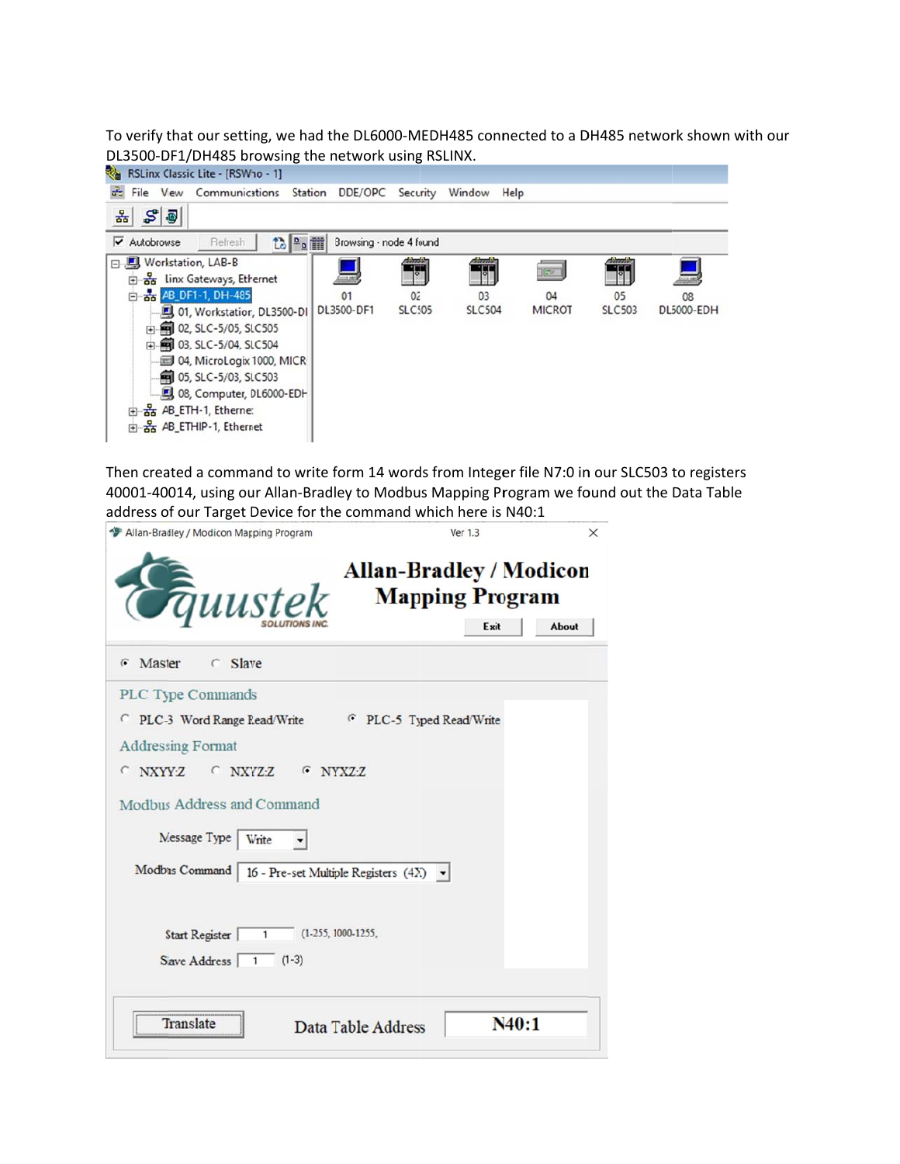To verify that our setting, we had the DL6000-MEDH485 connected to a DH485 network shown with our DL3500-DF1/DH485 browsing the network using RSLINX.



Then created a command to write form 14 words from Integer file N7:0 in our SLC503 to registers 40001-40014, using our Allan-Bradley to Modbus Mapping Program we found out the Data Table address of our Target Device for the command which here is N40:1

| Allan-Bradley / Modicon Mapping Program                                                                                                                                                                                                             | Ver 1.3<br>×                                                              |
|-----------------------------------------------------------------------------------------------------------------------------------------------------------------------------------------------------------------------------------------------------|---------------------------------------------------------------------------|
| Guustek                                                                                                                                                                                                                                             | <b>Allan-Bradley / Modicon</b><br><b>Mapping Program</b><br>Exit<br>About |
| G Master<br>$C$ Slave                                                                                                                                                                                                                               |                                                                           |
| PLC Type Commands<br>PLC-3 Word Range Read/Write FPLC-5 Typed Read/Write<br><b>Addressing Format</b><br>C NXYY-Z C NXYZ-Z G NYXZ-Z<br>Modbus Address and Command<br>Message Type   Write<br>Modbus Command   16 - Pre-set Multiple Registers (4X) - |                                                                           |
| $(1-255, 1000-1255,$<br>Start Register<br>$\overline{1}$<br>Slave Address<br>$\overline{1}$<br>$(1-3)$                                                                                                                                              |                                                                           |
| <b>Translate</b><br>Data Table Address                                                                                                                                                                                                              | N40:1                                                                     |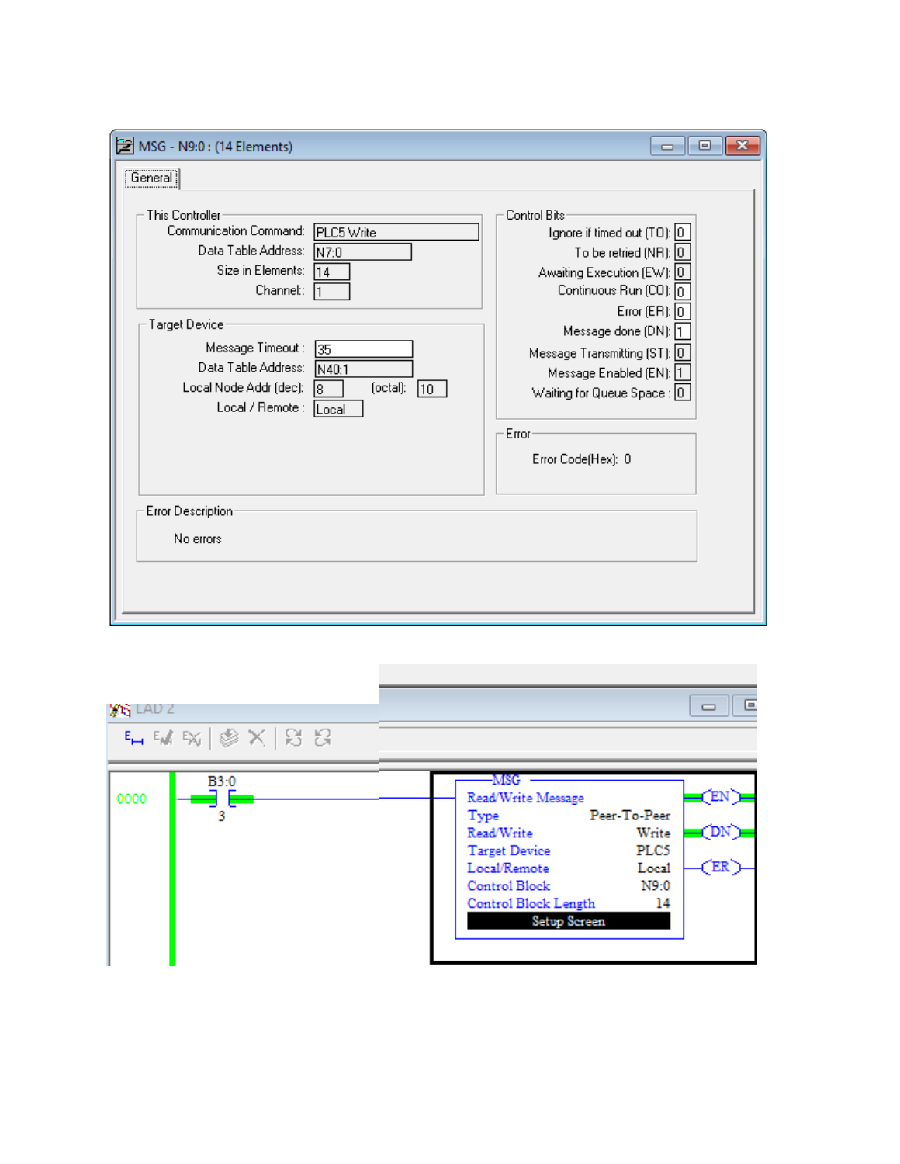| MSG - N9:0: (14 Elements)                                                                                                                                                                                                                                                                                                                               | ▣<br>- - 11                                                                                                                                                                                                                                                                                                          |
|---------------------------------------------------------------------------------------------------------------------------------------------------------------------------------------------------------------------------------------------------------------------------------------------------------------------------------------------------------|----------------------------------------------------------------------------------------------------------------------------------------------------------------------------------------------------------------------------------------------------------------------------------------------------------------------|
| General i<br>This Controller<br>Communication Command:<br>PLC5 Write<br>Data Table Address:<br>$N$ 7:0<br>Size in Elements:<br>14<br>Channel::<br>Target Device<br>Message Timeout :<br>135<br>Data Table Address:<br>N40:1<br>(octal):<br>Local Node Addr (dec):<br>$ 10\rangle$<br>l8<br>Local / Remote :<br>Local<br>Error Description:<br>No errors | Control Bits<br>Ignore if timed out (TO): 0<br>To be retried (NR): $\boxed{0}$<br>Awaiting Execution (EW): 0<br>Continuous Run (CO): 0<br>Error $(ER):$ $\boxed{0}$<br>Message done (DN): 1<br>Message Transmitting (ST): 0<br>Message Enabled (EN): 1<br>Waiting for Queue Space : 0<br>Error<br>Error Code(Hex): 0 |
|                                                                                                                                                                                                                                                                                                                                                         |                                                                                                                                                                                                                                                                                                                      |

| <b>YE LAD 2</b>                                    | 叵                                                                                                                                                                                                                                                                    |
|----------------------------------------------------|----------------------------------------------------------------------------------------------------------------------------------------------------------------------------------------------------------------------------------------------------------------------|
| $F_H M \otimes  \otimes \times  \boxtimes \otimes$ |                                                                                                                                                                                                                                                                      |
| B3:0<br>0000                                       | -MSG<br>(EN)<br>Read/Write Message<br>Peer-To-Peer<br>Type<br>$_{\rm (DN)}$<br>Write<br>Read/Write<br>PLC <sub>5</sub><br><b>Target Device</b><br>(ER)<br>Local/Remote<br>Local<br><b>Control Block</b><br>N9:0<br>14<br>Control Block Length<br><b>Setup Screen</b> |